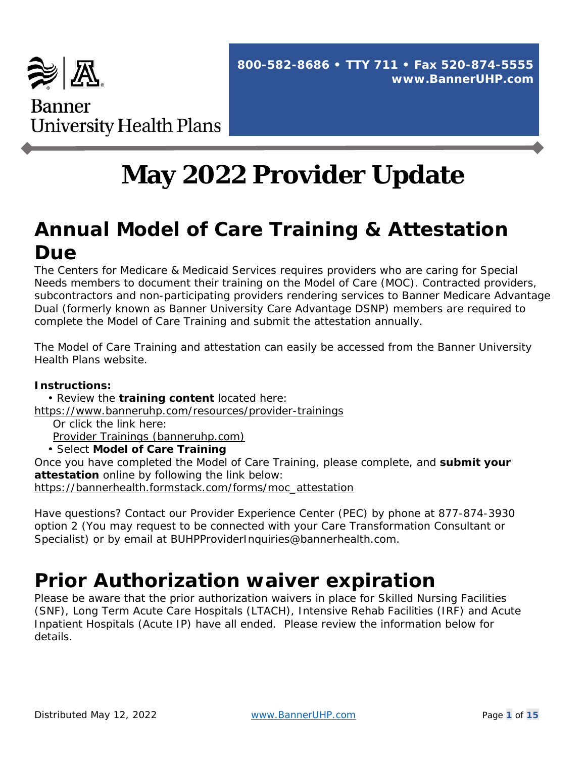

# **May 2022 Provider Update**

# **Annual Model of Care Training & Attestation Due**

The Centers for Medicare & Medicaid Services requires providers who are caring for Special Needs members to document their training on the Model of Care (MOC). Contracted providers, subcontractors and non-participating providers rendering services to Banner Medicare Advantage Dual (formerly known as Banner University Care Advantage DSNP) members are required to complete the Model of Care Training and submit the attestation annually.

The Model of Care Training and attestation can easily be accessed from the Banner University Health Plans website.

#### **Instructions:**

• Review the **training content** located here:

<https://www.banneruhp.com/resources/provider-trainings>

Or click the link here:

[Provider Trainings \(banneruhp.com\)](https://www.banneruhp.com/resources/provider-trainings)

• Select **Model of Care Training**

Once you have completed the Model of Care Training, please complete, and **submit your attestation** online by following the link below:

[https://bannerhealth.formstack.com/forms/moc\\_attestation](https://bannerhealth.formstack.com/forms/moc_attestation)

Have questions? Contact our Provider Experience Center (PEC) by phone at 877-874-3930 option 2 (You may request to be connected with your Care Transformation Consultant or Specialist) or by email at BUHPProviderInquiries@bannerhealth.com.

# **Prior Authorization waiver expiration**

Please be aware that the prior authorization waivers in place for Skilled Nursing Facilities (SNF), Long Term Acute Care Hospitals (LTACH), Intensive Rehab Facilities (IRF) and Acute Inpatient Hospitals (Acute IP) have all ended. Please review the information below for details.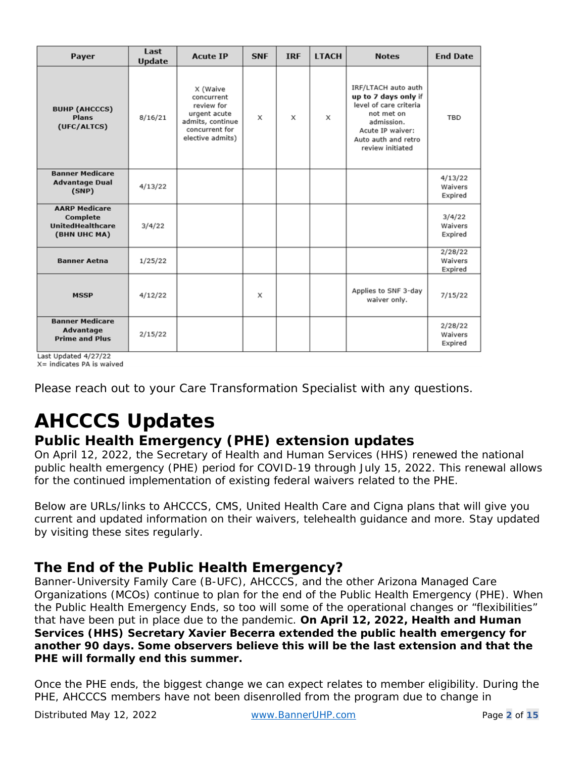| Payer                                                                       | Last<br><b>Update</b> | <b>Acute IP</b>                                                                                                | <b>SNF</b> | <b>IRF</b> | <b>LTACH</b> | <b>Notes</b>                                                                                                                                                     | <b>End Date</b>               |
|-----------------------------------------------------------------------------|-----------------------|----------------------------------------------------------------------------------------------------------------|------------|------------|--------------|------------------------------------------------------------------------------------------------------------------------------------------------------------------|-------------------------------|
| <b>BUHP (AHCCCS)</b><br><b>Plans</b><br>(UFC/ALTCS)                         | 8/16/21               | X (Waive<br>concurrent<br>review for<br>urgent acute<br>admits, continue<br>concurrent for<br>elective admits) | X          | X          | X            | IRF/LTACH auto auth<br>up to 7 days only if<br>level of care criteria<br>not met on<br>admission.<br>Acute IP waiver:<br>Auto auth and retro<br>review initiated | <b>TBD</b>                    |
| <b>Banner Medicare</b><br><b>Advantage Dual</b><br>(SNP)                    | 4/13/22               |                                                                                                                |            |            |              |                                                                                                                                                                  | 4/13/22<br>Waivers<br>Expired |
| <b>AARP Medicare</b><br>Complete<br><b>UnitedHealthcare</b><br>(BHN UHC MA) | 3/4/22                |                                                                                                                |            |            |              |                                                                                                                                                                  | 3/4/22<br>Waivers<br>Expired  |
| <b>Banner Aetna</b>                                                         | 1/25/22               |                                                                                                                |            |            |              |                                                                                                                                                                  | 2/28/22<br>Waivers<br>Expired |
| <b>MSSP</b>                                                                 | 4/12/22               |                                                                                                                | X          |            |              | Applies to SNF 3-day<br>waiver only.                                                                                                                             | 7/15/22                       |
| <b>Banner Medicare</b><br>Advantage<br><b>Prime and Plus</b>                | 2/15/22               |                                                                                                                |            |            |              |                                                                                                                                                                  | 2/28/22<br>Waivers<br>Expired |

Last Updated 4/27/22 X= indicates PA is waived

Please reach out to your Care Transformation Specialist with any questions.

# **AHCCCS Updates**

#### **Public Health Emergency (PHE) extension updates**

On April 12, 2022, the Secretary of Health and Human Services (HHS) renewed the national public health emergency (PHE) period for COVID-19 through July 15, 2022. This renewal allows for the continued implementation of existing federal waivers related to the PHE.

Below are URLs/links to AHCCCS, CMS, United Health Care and Cigna plans that will give you current and updated information on their waivers, telehealth guidance and more. Stay updated by visiting these sites regularly.

#### **The End of the Public Health Emergency?**

Banner-University Family Care (B-UFC), AHCCCS, and the other Arizona Managed Care Organizations (MCOs) continue to plan for the end of the Public Health Emergency (PHE). When the Public Health Emergency Ends, so too will some of the operational changes or "flexibilities" that have been put in place due to the pandemic. **On April 12, 2022, Health and Human Services (HHS) Secretary Xavier Becerra extended the public health emergency for another 90 days. Some observers believe this will be the last extension and that the PHE will formally end this summer.**

Once the PHE ends, the biggest change we can expect relates to member eligibility. During the PHE, AHCCCS members have not been disenrolled from the program due to change in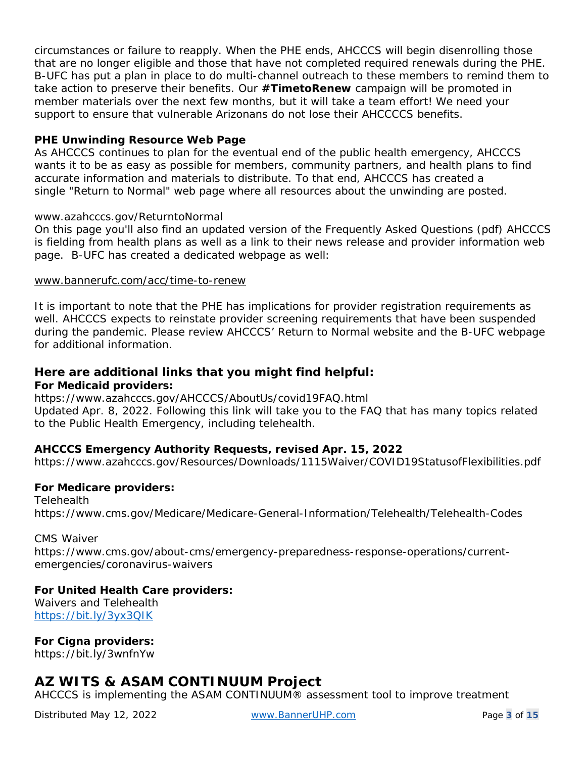circumstances or failure to reapply. When the PHE ends, AHCCCS will begin disenrolling those that are no longer eligible and those that have not completed required renewals during the PHE. B-UFC has put a plan in place to do multi-channel outreach to these members to remind them to take action to preserve their benefits. Our **#TimetoRenew** campaign will be promoted in member materials over the next few months, but it will take a team effort! We need your support to ensure that vulnerable Arizonans do not lose their AHCCCCS benefits.

#### **PHE Unwinding Resource Web Page**

As AHCCCS continues to plan for the eventual end of the public health emergency, AHCCCS wants it to be as easy as possible for members, community partners, and health plans to find accurate information and materials to distribute. To that end, AHCCCS has created a single ["Return to Normal" web page](https://urldefense.com/v3/__https:/azahcccs.gov/AHCCCS/AboutUs/Return_to_Normal.html__;!!J-3uQMwJ!IFm5iXDfs6NpDRsPfldxfqxEgQIseWkTfeGDHBEu_WJHhBNoTZkoZM1fiLn53QAj53PbFW5igx_IZCQ9p1tarlSsm5NcpUKGLY4$) where all resources about the unwinding are posted.

#### [www.azahcccs.gov/ReturntoNormal](https://urldefense.com/v3/__http:/www.azahcccs.gov/ReturntoNormal__;!!J-3uQMwJ!IFm5iXDfs6NpDRsPfldxfqxEgQIseWkTfeGDHBEu_WJHhBNoTZkoZM1fiLn53QAj53PbFW5igx_IZCQ9p1tarlSsm5Nc_KCeV9A$)

On this page you'll also find an updated version of the Frequently Asked Questions (pdf) AHCCCS is fielding from health plans as well as a link to their news release and provider information web page. B-UFC has created a dedicated webpage as well:

#### [www.bannerufc.com/acc/time-to-renew](https://www.bannerufc.com/acc/time-to-renew)

It is important to note that the PHE has implications for provider registration requirements as well. AHCCCS expects to reinstate provider screening requirements that have been suspended during the pandemic. Please review AHCCCS' Return to Normal website and the B-UFC webpage for additional information.

#### **Here are additional links that you might find helpful: For Medicaid providers:**

https://www.azahcccs.gov/AHCCCS/AboutUs/covid19FAQ.html

Updated Apr. 8, 2022. Following this link will take you to the FAQ that has many topics related to the Public Health Emergency, including telehealth.

#### **AHCCCS Emergency Authority Requests, revised Apr. 15, 2022**

https://www.azahcccs.gov/Resources/Downloads/1115Waiver/COVID19StatusofFlexibilities.pdf

#### **For Medicare providers:**

**Telehealth** https://www.cms.gov/Medicare/Medicare-General-Information/Telehealth/Telehealth-Codes

CMS Waiver https://www.cms.gov/about-cms/emergency-preparedness-response-operations/currentemergencies/coronavirus-waivers

#### **For United Health Care providers:**

Waivers and Telehealth <https://bit.ly/3yx3QIK>

**For Cigna providers:**

https://bit.ly/3wnfnYw

#### **AZ WITS & ASAM CONTINUUM Project**

AHCCCS is implementing the ASAM CONTINUUM® assessment tool to improve treatment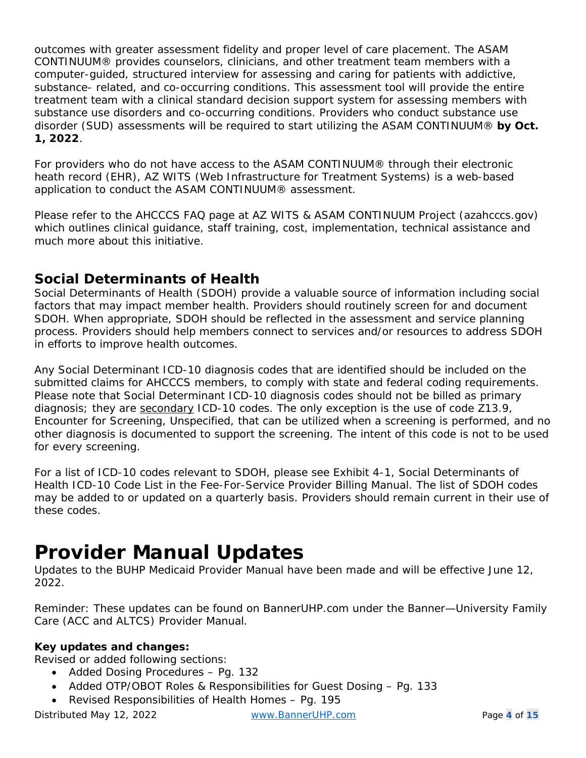outcomes with greater assessment fidelity and proper level of care placement. The ASAM CONTINUUM® provides counselors, clinicians, and other treatment team members with a computer-guided, structured interview for assessing and caring for patients with addictive, substance- related, and co-occurring conditions. This assessment tool will provide the entire treatment team with a clinical standard decision support system for assessing members with substance use disorders and co-occurring conditions. Providers who conduct substance use disorder (SUD) assessments will be required to start utilizing the ASAM CONTINUUM® **by Oct. 1, 2022**.

For providers who do not have access to the ASAM CONTINUUM® through their electronic heath record (EHR), AZ WITS (Web Infrastructure for Treatment Systems) is a web-based application to conduct the ASAM CONTINUUM® assessment.

Please refer to the AHCCCS FAQ page at [AZ WITS & ASAM CONTINUUM Project \(azahcccs.gov\)](https://www.azahcccs.gov/PlansProviders/CurrentProviders/ASAM.html) which outlines clinical guidance, staff training, cost, implementation, technical assistance and much more about this initiative.

#### **Social Determinants of Health**

Social Determinants of Health (SDOH) provide a valuable source of information including social factors that may impact member health. Providers should routinely screen for and document SDOH. When appropriate, SDOH should be reflected in the assessment and service planning process. Providers should help members connect to services and/or resources to address SDOH in efforts to improve health outcomes.

Any Social Determinant ICD-10 diagnosis codes that are identified should be included on the submitted claims for AHCCCS members, to comply with state and federal coding requirements. Please note that Social Determinant ICD-10 diagnosis codes should not be billed as primary diagnosis; they are secondary ICD-10 codes. The only exception is the use of code Z13.9, Encounter for Screening, Unspecified, that can be utilized when a screening is performed, and no other diagnosis is documented to support the screening. The intent of this code is not to be used for every screening.

For a list of ICD-10 codes relevant to SDOH, please see Exhibit 4-1, Social Determinants of Health ICD-10 Code List in the Fee-For-Service Provider Billing Manual. The list of SDOH codes may be added to or updated on a quarterly basis. Providers should remain current in their use of these codes.

# **Provider Manual Updates**

Updates to the BUHP Medicaid Provider Manual have been made and will be effective June 12, 2022.

Reminder: These updates can be found on BannerUHP.com under the Banner—University Family Care (ACC and ALTCS) Provider Manual.

#### **Key updates and changes:**

Revised or added following sections:

- Added Dosing Procedures Pg. 132
- Added OTP/OBOT Roles & Responsibilities for Guest Dosing Pg. 133
- Revised Responsibilities of Health Homes Pg. 195

Distributed May 12, 2022 [www.BannerUHP.com](http://www.banneruhp.com/) Page **4** of **15**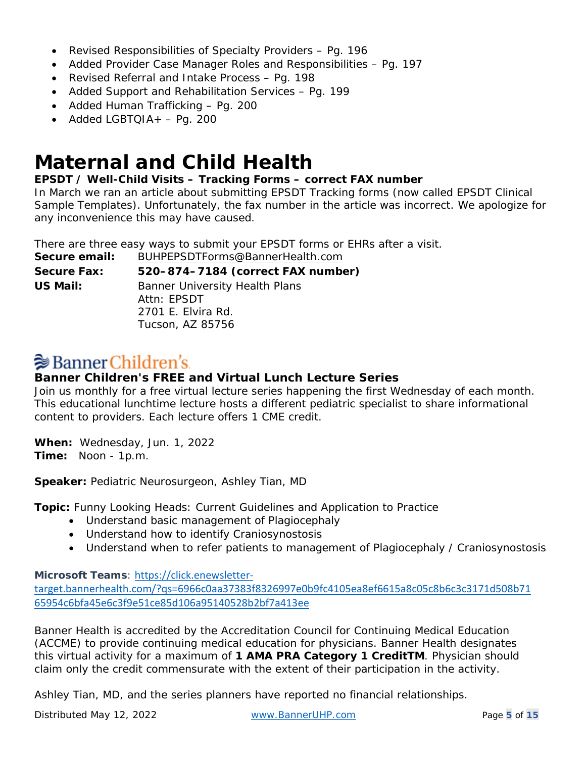- Revised Responsibilities of Specialty Providers Pg. 196
- Added Provider Case Manager Roles and Responsibilities Pg. 197
- Revised Referral and Intake Process Pg. 198
- Added Support and Rehabilitation Services Pg. 199
- Added Human Trafficking Pg. 200
- Added LGBTQIA $+ -$  Pg. 200

### **Maternal and Child Health**

#### **EPSDT / Well-Child Visits – Tracking Forms – correct FAX number**

In March we ran an article about submitting EPSDT Tracking forms (now called EPSDT Clinical Sample Templates). Unfortunately, the fax number in the article was incorrect. We apologize for any inconvenience this may have caused.

There are three easy ways to submit your EPSDT forms or EHRs after a visit.

**Secure email:** [BUHPEPSDTForms@BannerHealth.com](mailto:BUHPEPSDTForms@BannerHealth.com) **Secure Fax: 520–874–7184 (correct FAX number) US Mail:** Banner University Health Plans Attn: EPSDT 2701 E. Elvira Rd.

Tucson, AZ 85756

 $\geqslant$  Banner Children's.

**Banner Children's FREE and Virtual Lunch Lecture Series**

Join us monthly for a free virtual lecture series happening the first Wednesday of each month. This educational lunchtime lecture hosts a different pediatric specialist to share informational content to providers. Each lecture offers 1 CME credit.

**When:** Wednesday, Jun. 1, 2022 **Time:** Noon - 1p.m.

**Speaker:** Pediatric Neurosurgeon, Ashley Tian, MD

**Topic:** Funny Looking Heads: Current Guidelines and Application to Practice

- Understand basic management of Plagiocephaly
- Understand how to identify Craniosynostosis
- Understand when to refer patients to management of Plagiocephaly / Craniosynostosis

**Microsoft Teams**: [https://click.enewsletter-](https://click.enewsletter-target.bannerhealth.com/?qs=6966c0aa37383f8326997e0b9fc4105ea8ef6615a8c05c8b6c3c3171d508b7165954c6bfa45e6c3f9e51ce85d106a95140528b2bf7a413ee)

[target.bannerhealth.com/?qs=6966c0aa37383f8326997e0b9fc4105ea8ef6615a8c05c8b6c3c3171d508b71](https://click.enewsletter-target.bannerhealth.com/?qs=6966c0aa37383f8326997e0b9fc4105ea8ef6615a8c05c8b6c3c3171d508b7165954c6bfa45e6c3f9e51ce85d106a95140528b2bf7a413ee) [65954c6bfa45e6c3f9e51ce85d106a95140528b2bf7a413ee](https://click.enewsletter-target.bannerhealth.com/?qs=6966c0aa37383f8326997e0b9fc4105ea8ef6615a8c05c8b6c3c3171d508b7165954c6bfa45e6c3f9e51ce85d106a95140528b2bf7a413ee)

*Banner Health is accredited by the Accreditation Council for Continuing Medical Education (ACCME) to provide continuing medical education for physicians. Banner Health designates this virtual activity for a maximum of 1 AMA PRA Category 1 CreditTM. Physician should claim only the credit commensurate with the extent of their participation in the activity.* 

*Ashley Tian, MD, and the series planners have reported no financial relationships.*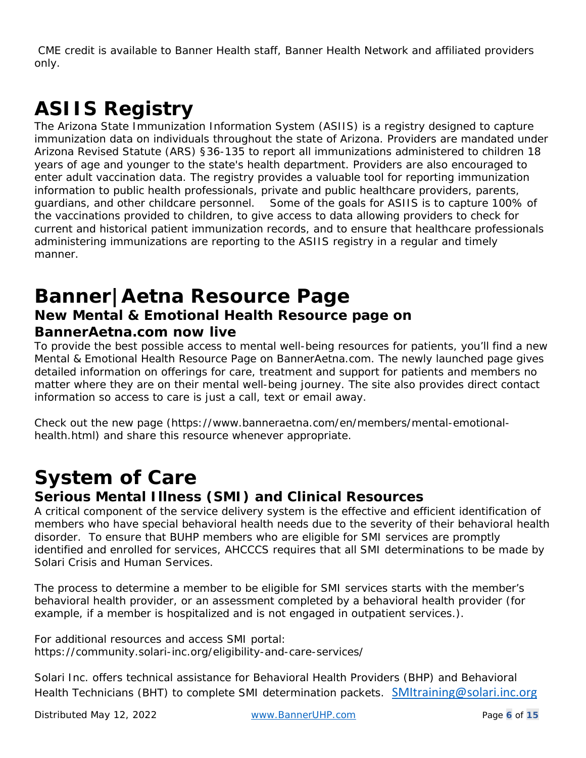*CME credit is available to Banner Health staff, Banner Health Network and affiliated providers only.*

# **ASIIS Registry**

The Arizona State Immunization Information System (ASIIS) is a registry designed to capture immunization data on individuals throughout the state of Arizona. Providers are mandated under Arizona Revised Statute (ARS) §36-135 to report all immunizations administered to children 18 years of age and younger to the state's health department. Providers are also encouraged to enter adult vaccination data. The registry provides a valuable tool for reporting immunization information to public health professionals, private and public healthcare providers, parents, guardians, and other childcare personnel. Some of the goals for ASIIS is to capture 100% of the vaccinations provided to children, to give access to data allowing providers to check for current and historical patient immunization records, and to ensure that healthcare professionals administering immunizations are reporting to the ASIIS registry in a regular and timely manner.

### **Banner|Aetna Resource Page New Mental & Emotional Health Resource page on BannerAetna.com now live**

To provide the best possible access to mental well-being resources for patients, you'll find a new Mental & Emotional Health Resource Page on BannerAetna.com. The newly launched page gives detailed information on offerings for care, treatment and support for patients and members no matter where they are on their mental well-being journey. The site also provides direct contact information so access to care is just a call, text or email away.

Check out the new page (https://www.banneraetna.com/en/members/mental-emotionalhealth.html) and share this resource whenever appropriate.

# **System of Care**

#### **Serious Mental Illness (SMI) and Clinical Resources**

A critical component of the service delivery system is the effective and efficient identification of members who have special behavioral health needs due to the severity of their behavioral health disorder. To ensure that BUHP members who are eligible for SMI services are promptly identified and enrolled for services, AHCCCS requires that all SMI determinations to be made by Solari Crisis and Human Services.

The process to determine a member to be eligible for SMI services starts with the member's behavioral health provider, or an assessment completed by a behavioral health provider (for example, if a member is hospitalized and is not engaged in outpatient services.).

For additional resources and access SMI portal: https://community.solari-inc.org/eligibility-and-care-services/

Solari Inc. offers technical assistance for Behavioral Health Providers (BHP) and Behavioral Health Technicians (BHT) to complete SMI determination packets. [SMItraining@solari.inc.org](mailto:SMItraining@solari.inc.org)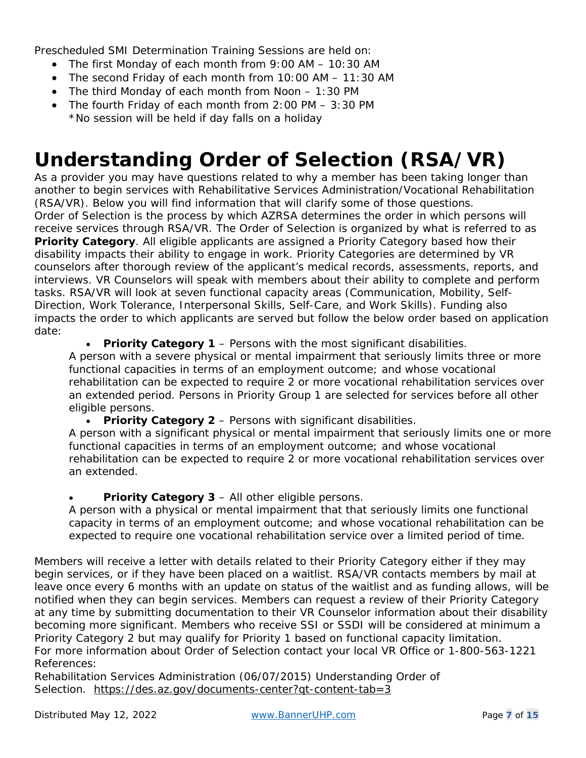Prescheduled SMI Determination Training Sessions are held on:

- The first Monday of each month from 9:00 AM 10:30 AM
- The second Friday of each month from 10:00 AM 11:30 AM
- The third Monday of each month from Noon 1:30 PM
- The fourth Friday of each month from 2:00 PM 3:30 PM \*No session will be held if day falls on a holiday

# **Understanding Order of Selection (RSA/VR)**

As a provider you may have questions related to why a member has been taking longer than another to begin services with Rehabilitative Services Administration/Vocational Rehabilitation (RSA/VR). Below you will find information that will clarify some of those questions. Order of Selection is the process by which AZRSA determines the order in which persons will receive services through RSA/VR. The Order of Selection is organized by what is referred to as **Priority Category**. All eligible applicants are assigned a Priority Category based how their disability impacts their ability to engage in work. Priority Categories are determined by VR counselors after thorough review of the applicant's medical records, assessments, reports, and interviews. VR Counselors will speak with members about their ability to complete and perform tasks. RSA/VR will look at seven functional capacity areas (Communication, Mobility, Self-Direction, Work Tolerance, Interpersonal Skills, Self-Care, and Work Skills). Funding also impacts the order to which applicants are served but follow the below order based on application date:

• **Priority Category 1** – *Persons with the most significant disabilities.*

A person with a severe physical or mental impairment that seriously limits three or more functional capacities in terms of an employment outcome; and whose vocational rehabilitation can be expected to require 2 or more vocational rehabilitation services over an extended period. Persons in Priority Group 1 are selected for services before all other eligible persons.

• **Priority Category 2** – *Persons with significant disabilities.*

A person with a significant physical or mental impairment that seriously limits one or more functional capacities in terms of an employment outcome; and whose vocational rehabilitation can be expected to require 2 or more vocational rehabilitation services over an extended.

#### • **Priority Category 3** – *All other eligible persons.*

A person with a physical or mental impairment that that seriously limits one functional capacity in terms of an employment outcome; and whose vocational rehabilitation can be expected to require one vocational rehabilitation service over a limited period of time.

Members will receive a letter with details related to their Priority Category either if they may begin services, or if they have been placed on a waitlist. RSA/VR contacts members by mail at leave once every 6 months with an update on status of the waitlist and as funding allows, will be notified when they can begin services. Members can request a review of their Priority Category at any time by submitting documentation to their VR Counselor information about their disability becoming more significant. Members who receive SSI or SSDI will be considered at minimum a Priority Category 2 but may qualify for Priority 1 based on functional capacity limitation. For more information about Order of Selection contact your local VR Office or 1-800-563-1221 References:

Rehabilitation Services Administration (06/07/2015) *Understanding Order of Selection. <https://des.az.gov/documents-center?qt-content-tab=3>*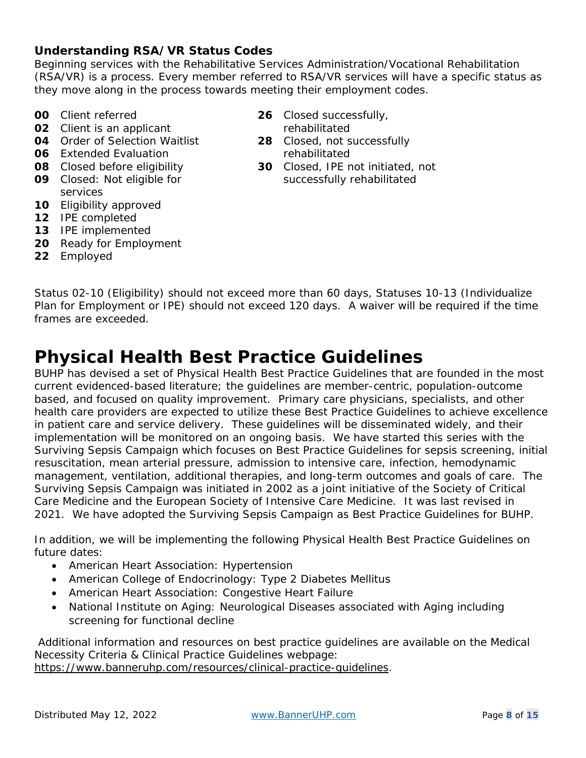#### **Understanding RSA/VR Status Codes**

Beginning services with the Rehabilitative Services Administration/Vocational Rehabilitation (RSA/VR) is a process. Every member referred to RSA/VR services will have a specific status as they move along in the process towards meeting their employment codes.

- **00** Client referred
- **02** Client is an applicant
- **04** Order of Selection Waitlist
- **06** Extended Evaluation
- **08** Closed before eligibility
- **09** Closed: Not eligible for services
- **10** Eligibility approved
- **12** IPE completed
- **13** IPE implemented
- **20** Ready for Employment
- **22** Employed
- **26** Closed successfully, rehabilitated
- **28** Closed, not successfully rehabilitated
- **30** Closed, IPE not initiated, not successfully rehabilitated

Status 02-10 (Eligibility) should not exceed more than 60 days, Statuses 10-13 (Individualize Plan for Employment or IPE) should not exceed 120 days. A waiver will be required if the time frames are exceeded.

### **Physical Health Best Practice Guidelines**

BUHP has devised a set of Physical Health Best Practice Guidelines that are founded in the most current evidenced-based literature; the guidelines are member-centric, population-outcome based, and focused on quality improvement. Primary care physicians, specialists, and other health care providers are expected to utilize these Best Practice Guidelines to achieve excellence in patient care and service delivery. These guidelines will be disseminated widely, and their implementation will be monitored on an ongoing basis. We have started this series with the Surviving Sepsis Campaign which focuses on Best Practice Guidelines for sepsis screening, initial resuscitation, mean arterial pressure, admission to intensive care, infection, hemodynamic management, ventilation, additional therapies, and long-term outcomes and goals of care. The Surviving Sepsis Campaign was initiated in 2002 as a joint initiative of the Society of Critical Care Medicine and the European Society of Intensive Care Medicine. It was last revised in 2021. We have adopted the Surviving Sepsis Campaign as Best Practice Guidelines for BUHP.

In addition, we will be implementing the following Physical Health Best Practice Guidelines on future dates:

- American Heart Association: Hypertension
- American College of Endocrinology: Type 2 Diabetes Mellitus
- American Heart Association: Congestive Heart Failure
- National Institute on Aging: Neurological Diseases associated with Aging including screening for functional decline

Additional information and resources on best practice guidelines are available on the Medical Necessity Criteria & Clinical Practice Guidelines webpage: [https://www.banneruhp.com/resources/clinical-practice-guidelines.](https://www.banneruhp.com/resources/clinical-practice-guidelines)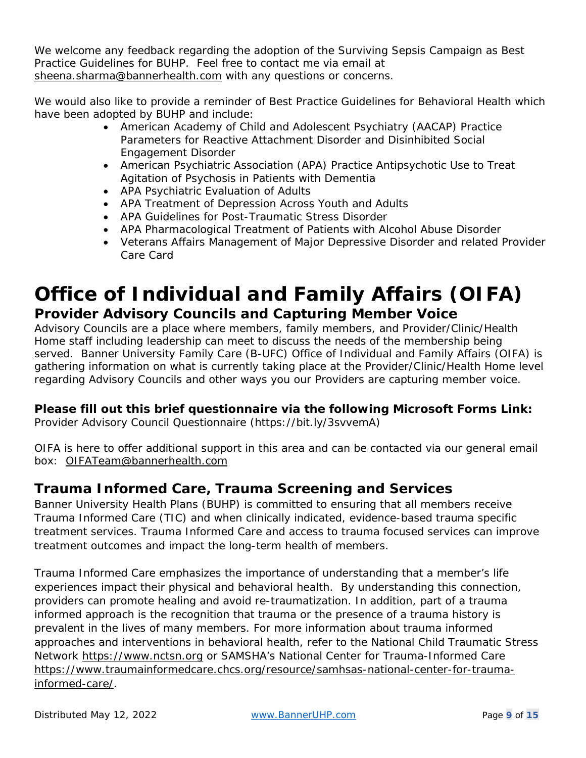We welcome any feedback regarding the adoption of the Surviving Sepsis Campaign as Best Practice Guidelines for BUHP. Feel free to contact me via email at [sheena.sharma@bannerhealth.com](mailto:sheena.sharma@bannerhealth.com) with any questions or concerns.

We would also like to provide a reminder of Best Practice Guidelines for Behavioral Health which have been adopted by BUHP and include:

- American Academy of Child and Adolescent Psychiatry (AACAP) Practice Parameters for Reactive Attachment Disorder and Disinhibited Social Engagement Disorder
- American Psychiatric Association (APA) Practice Antipsychotic Use to Treat Agitation of Psychosis in Patients with Dementia
- APA Psychiatric Evaluation of Adults
- APA Treatment of Depression Across Youth and Adults
- APA Guidelines for Post-Traumatic Stress Disorder
- APA Pharmacological Treatment of Patients with Alcohol Abuse Disorder
- Veterans Affairs Management of Major Depressive Disorder and related Provider Care Card

### **Office of Individual and Family Affairs (OIFA) Provider Advisory Councils and Capturing Member Voice**

Advisory Councils are a place where members, family members, and Provider/Clinic/Health Home staff including leadership can meet to discuss the needs of the membership being served. Banner University Family Care (B-UFC) Office of Individual and Family Affairs (OIFA) is gathering information on what is currently taking place at the Provider/Clinic/Health Home level regarding Advisory Councils and other ways you our Providers are capturing member voice.

#### **Please fill out this brief questionnaire via the following Microsoft Forms Link:**

Provider Advisory Council Questionnaire (https://bit.ly/3svvemA)

OIFA is here to offer additional support in this area and can be contacted via our general email box: [OIFATeam@bannerhealth.com](mailto:OIFATeam@bannerhealth.com) 

#### **Trauma Informed Care, Trauma Screening and Services**

Banner University Health Plans (BUHP) is committed to ensuring that all members receive Trauma Informed Care (TIC) and when clinically indicated, evidence-based trauma specific treatment services. Trauma Informed Care and access to trauma focused services can improve treatment outcomes and impact the long-term health of members.

Trauma Informed Care emphasizes the importance of understanding that a member's life experiences impact their physical and behavioral health. By understanding this connection, providers can promote healing and avoid re-traumatization. In addition, part of a trauma informed approach is the recognition that trauma or the presence of a trauma history is prevalent in the lives of many members. For more information about trauma informed approaches and interventions in behavioral health, refer to the National Child Traumatic Stress Network [https://www.nctsn.org](https://www.nctsn.org/) or SAMSHA's National Center for Trauma-Informed Care [https://www.traumainformedcare.chcs.org/resource/samhsas-national-center-for-trauma](https://www.traumainformedcare.chcs.org/resource/samhsas-national-center-for-trauma-informed-care/)[informed-care/.](https://www.traumainformedcare.chcs.org/resource/samhsas-national-center-for-trauma-informed-care/)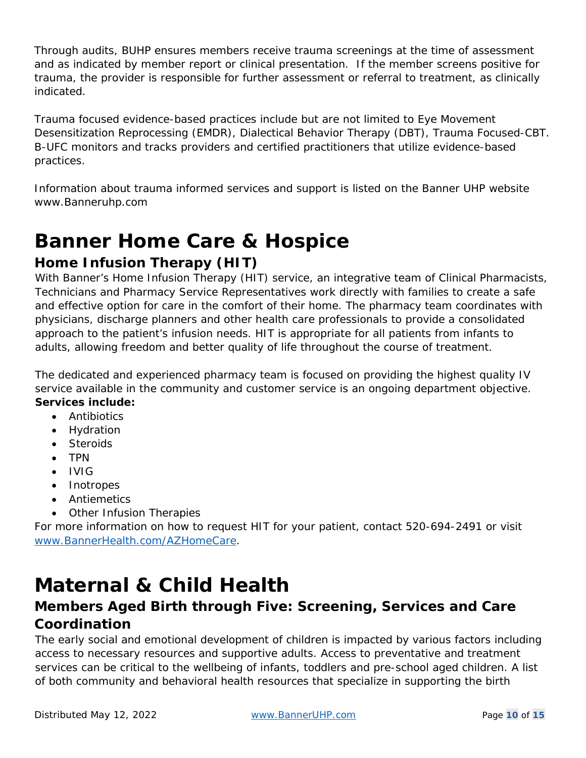Through audits, BUHP ensures members receive trauma screenings at the time of assessment and as indicated by member report or clinical presentation. If the member screens positive for trauma, the provider is responsible for further assessment or referral to treatment, as clinically indicated.

Trauma focused evidence-based practices include but are not limited to Eye Movement Desensitization Reprocessing (EMDR), Dialectical Behavior Therapy (DBT), Trauma Focused-CBT. B-UFC monitors and tracks providers and certified practitioners that utilize evidence-based practices.

Information about trauma informed services and support is listed on the Banner UHP website www.Banneruhp.com

# **Banner Home Care & Hospice**

#### **Home Infusion Therapy (HIT)**

With Banner's Home Infusion Therapy (HIT) service, an integrative team of Clinical Pharmacists, Technicians and Pharmacy Service Representatives work directly with families to create a safe and effective option for care in the comfort of their home. The pharmacy team coordinates with physicians, discharge planners and other health care professionals to provide a consolidated approach to the patient's infusion needs. HIT is appropriate for all patients from infants to adults, allowing freedom and better quality of life throughout the course of treatment.

The dedicated and experienced pharmacy team is focused on providing the highest quality IV service available in the community and customer service is an ongoing department objective. **Services include:**

- Antibiotics
- Hydration
- Steroids
- TPN
- IVIG
- Inotropes
- Antiemetics
- Other Infusion Therapies

For more information on how to request HIT for your patient, contact 520-694-2491 or visit [www.BannerHealth.com/AZHomeCare.](http://www.bannerhealth.com/AZHomeCare)

# **Maternal & Child Health**

#### **Members Aged Birth through Five: Screening, Services and Care Coordination**

The early social and emotional development of children is impacted by various factors including access to necessary resources and supportive adults. Access to preventative and treatment services can be critical to the wellbeing of infants, toddlers and pre-school aged children. A list of both community and behavioral health resources that specialize in supporting the birth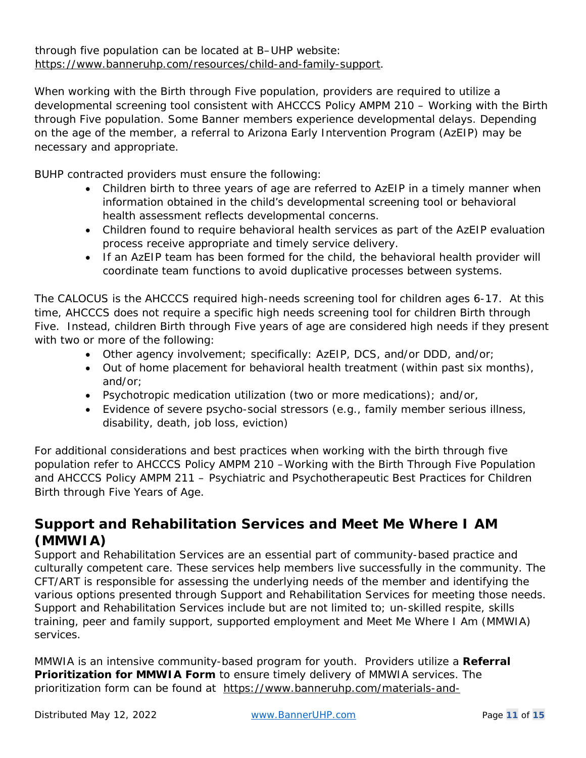#### through five population can be located at B–UHP website: [https://www.banneruhp.com/resources/child-and-family-support.](https://www.banneruhp.com/resources/child-and-family-support)

When working with the Birth through Five population, providers are required to utilize a developmental screening tool consistent with AHCCCS Policy AMPM 210 – Working with the Birth through Five population. Some Banner members experience developmental delays. Depending on the age of the member, a referral to Arizona Early Intervention Program (AzEIP) may be necessary and appropriate.

BUHP contracted providers must ensure the following:

- Children birth to three years of age are referred to AzEIP in a timely manner when information obtained in the child's developmental screening tool or behavioral health assessment reflects developmental concerns.
- Children found to require behavioral health services as part of the AzEIP evaluation process receive appropriate and timely service delivery.
- If an AzEIP team has been formed for the child, the behavioral health provider will coordinate team functions to avoid duplicative processes between systems.

The CALOCUS is the AHCCCS required high-needs screening tool for children ages 6-17. At this time, AHCCCS does not require a specific high needs screening tool for children Birth through Five. Instead, children Birth through Five years of age are considered high needs if they present with two or more of the following:

- Other agency involvement; specifically: AzEIP, DCS, and/or DDD, and/or;
- Out of home placement for behavioral health treatment (within past six months), and/or;
- Psychotropic medication utilization (two or more medications); and/or,
- Evidence of severe psycho-social stressors (e.g., family member serious illness, disability, death, job loss, eviction)

For additional considerations and best practices when working with the birth through five population refer to AHCCCS Policy AMPM 210 –Working with the Birth Through Five Population and AHCCCS Policy AMPM 211 – Psychiatric and Psychotherapeutic Best Practices for Children Birth through Five Years of Age.

#### **Support and Rehabilitation Services and Meet Me Where I AM (MMWIA)**

Support and Rehabilitation Services are an essential part of community-based practice and culturally competent care. These services help members live successfully in the community. The CFT/ART is responsible for assessing the underlying needs of the member and identifying the various options presented through Support and Rehabilitation Services for meeting those needs. Support and Rehabilitation Services include but are not limited to; un-skilled respite, skills training, peer and family support, supported employment and Meet Me Where I Am (MMWIA) services.

MMWIA is an intensive community-based program for youth. Providers utilize a **Referral Prioritization for MMWIA Form** to ensure timely delivery of MMWIA services. The prioritization form can be found at [https://www.banneruhp.com/materials-and-](https://www.banneruhp.com/materials-and-services/behavioral-health)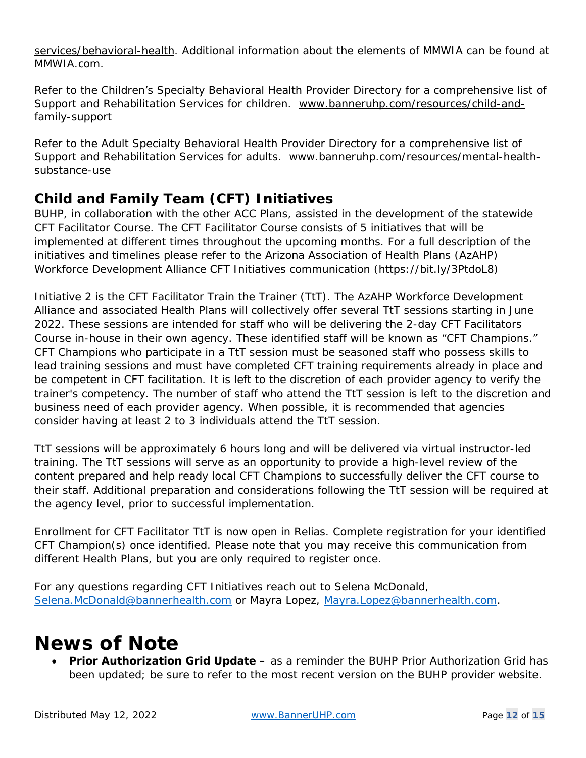[services/behavioral-health.](https://www.banneruhp.com/materials-and-services/behavioral-health) Additional information about the elements of MMWIA can be found at MMWIA.com.

Refer to the Children's Specialty Behavioral Health Provider Directory for a comprehensive list of Support and Rehabilitation Services for children. [www.banneruhp.com/resources/child-and](http://www.banneruhp.com/resources/child-and-family-support)[family-support](http://www.banneruhp.com/resources/child-and-family-support)

Refer to the Adult Specialty Behavioral Health Provider Directory for a comprehensive list of Support and Rehabilitation Services for adults. [www.banneruhp.com/resources/mental-health](http://www.banneruhp.com/resources/mental-health-substance-use)[substance-use](http://www.banneruhp.com/resources/mental-health-substance-use)

#### **Child and Family Team (CFT) Initiatives**

BUHP, in collaboration with the other ACC Plans, assisted in the development of the statewide CFT Facilitator Course. The CFT Facilitator Course consists of 5 initiatives that will be implemented at different times throughout the upcoming months. For a full description of the initiatives and timelines please refer to the Arizona Association of Health Plans (AzAHP) Workforce Development Alliance CFT Initiatives communication (https://bit.ly/3PtdoL8)

Initiative 2 is the CFT Facilitator Train the Trainer (TtT). The AzAHP Workforce Development Alliance and associated Health Plans will collectively offer several TtT sessions starting in June 2022. These sessions are intended for staff who will be delivering the 2-day CFT Facilitators Course in-house in their own agency. These identified staff will be known as "CFT Champions." CFT Champions who participate in a TtT session must be seasoned staff who possess skills to lead training sessions and must have completed CFT training requirements already in place and be competent in CFT facilitation. It is left to the discretion of each provider agency to verify the trainer's competency. The number of staff who attend the TtT session is left to the discretion and business need of each provider agency. When possible, it is recommended that agencies consider having at least 2 to 3 individuals attend the TtT session.

TtT sessions will be approximately 6 hours long and will be delivered via virtual instructor-led training. The TtT sessions will serve as an opportunity to provide a high-level review of the content prepared and help ready local CFT Champions to successfully deliver the CFT course to their staff. Additional preparation and considerations following the TtT session will be required at the agency level, prior to successful implementation.

Enrollment for CFT Facilitator TtT is now open in Relias. Complete registration for your identified CFT Champion(s) once identified. Please note that you may receive this communication from different Health Plans, but you are only required to register once.

For any questions regarding CFT Initiatives reach out to Selena McDonald, [Selena.McDonald@bannerhealth.com](mailto:Selena.McDonald@bannerhealth.com) or Mayra Lopez, [Mayra.Lopez@bannerhealth.com.](mailto:Mayra.Lopez@bannerhealth.com)

### **News of Note**

• **Prior Authorization Grid Update –** as a reminder the BUHP Prior Authorization Grid has been updated; be sure to refer to the most recent version on the BUHP provider website.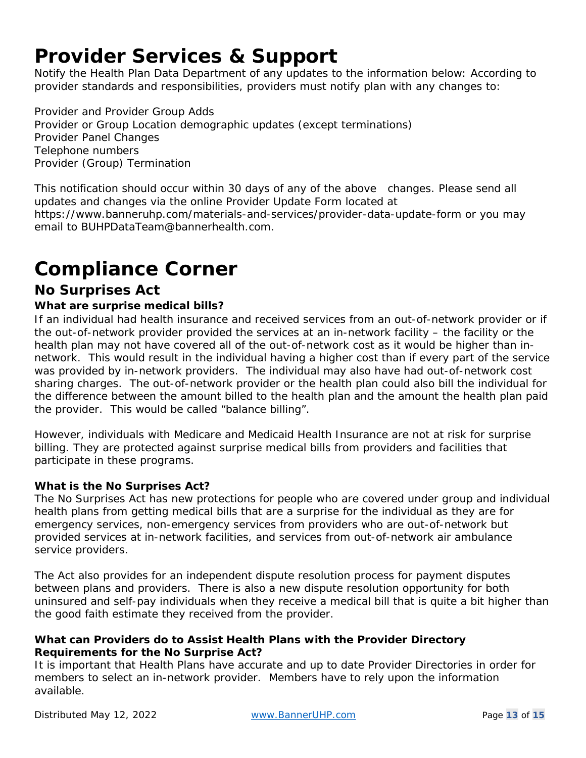# **Provider Services & Support**

Notify the Health Plan Data Department of any updates to the information below: According to provider standards and responsibilities, providers must notify plan with any changes to:

Provider and Provider Group Adds Provider or Group Location demographic updates (except terminations) Provider Panel Changes Telephone numbers Provider (Group) Termination

This notification should occur within 30 days of any of the above changes. Please send all updates and changes via the online Provider Update Form located at

https://www.banneruhp.com/materials-and-services/provider-data-update-form or you may email to BUHPDataTeam@bannerhealth.com.

# **Compliance Corner**

#### **No Surprises Act**

#### **What are surprise medical bills?**

If an individual had health insurance and received services from an out-of-network provider or if the out-of-network provider provided the services at an in-network facility – the facility or the health plan may not have covered all of the out-of-network cost as it would be higher than innetwork. This would result in the individual having a higher cost than if every part of the service was provided by in-network providers. The individual may also have had out-of-network cost sharing charges. The out-of-network provider or the health plan could also bill the individual for the difference between the amount billed to the health plan and the amount the health plan paid the provider. This would be called "balance billing".

However, individuals with Medicare and Medicaid Health Insurance are not at risk for surprise billing. They are protected against surprise medical bills from providers and facilities that participate in these programs.

#### **What is the No Surprises Act?**

The No Surprises Act has new protections for people who are covered under group and individual health plans from getting medical bills that are a surprise for the individual as they are for emergency services, non-emergency services from providers who are out-of-network but provided services at in-network facilities, and services from out-of-network air ambulance service providers.

The Act also provides for an independent dispute resolution process for payment disputes between plans and providers. There is also a new dispute resolution opportunity for both uninsured and self-pay individuals when they receive a medical bill that is quite a bit higher than the good faith estimate they received from the provider.

#### **What can Providers do to Assist Health Plans with the Provider Directory Requirements for the No Surprise Act?**

It is important that Health Plans have accurate and up to date Provider Directories in order for members to select an in-network provider. Members have to rely upon the information available.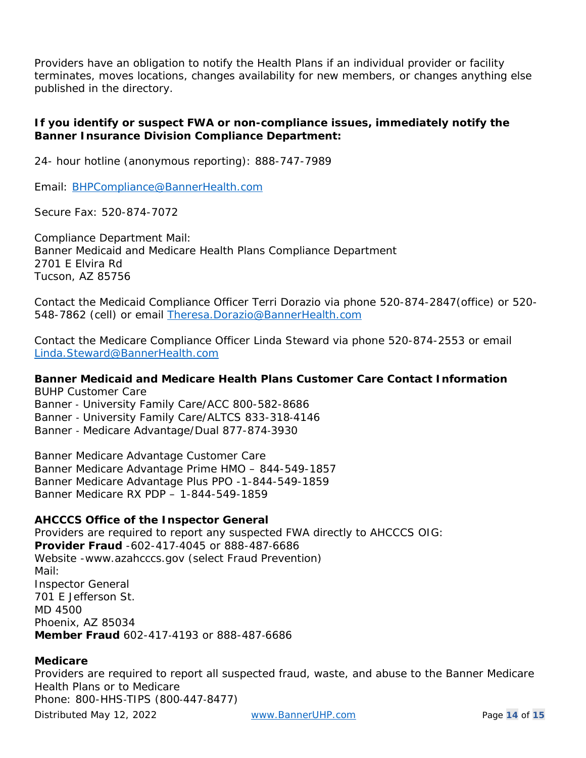Providers have an obligation to notify the Health Plans if an individual provider or facility terminates, moves locations, changes availability for new members, or changes anything else published in the directory.

#### **If you identify or suspect FWA or non-compliance issues, immediately notify the Banner Insurance Division Compliance Department:**

24- hour hotline (anonymous reporting): 888-747-7989

Email: [BHPCompliance@BannerHealth.com](mailto:BHPCompliance@BannerHealth.com)

Secure Fax: 520-874-7072

Compliance Department Mail: Banner Medicaid and Medicare Health Plans Compliance Department 2701 E Elvira Rd Tucson, AZ 85756

Contact the Medicaid Compliance Officer Terri Dorazio via phone 520-874-2847(office) or 520- 548-7862 (cell) or email [Theresa.Dorazio@BannerHealth.com](mailto:Theresa.Dorazio@BannerHealth.com)

Contact the Medicare Compliance Officer Linda Steward via phone 520-874-2553 or email [Linda.Steward@BannerHealth.com](mailto:Linda.Steward@BannerHealth.com)

#### **Banner Medicaid and Medicare Health Plans Customer Care Contact Information** *BUHP Customer Care*

Banner ‐ University Family Care/ACC 800-582-8686 Banner ‐ University Family Care/ALTCS 833-318‐4146 Banner ‐ Medicare Advantage/Dual 877-874‐3930

*Banner Medicare Advantage Customer Care* Banner Medicare Advantage Prime HMO – 844-549-1857 Banner Medicare Advantage Plus PPO -1-844-549-1859 Banner Medicare RX PDP – 1-844-549-1859

#### **AHCCCS Office of the Inspector General**

Providers are required to report any suspected FWA directly to AHCCCS OIG: **Provider Fraud** -602-417‐4045 or 888-487‐6686 Website -www.azahcccs.gov (select Fraud Prevention) Mail: Inspector General 701 E Jefferson St. MD 4500 Phoenix, AZ 85034 **Member Fraud** 602-417‐4193 or 888-487‐6686

#### **Medicare**

Providers are required to report all suspected fraud, waste, and abuse to the Banner Medicare Health Plans or to Medicare Phone: 800-HHS‐TIPS (800‐447‐8477)

Distributed May 12, 2022 [www.BannerUHP.com](http://www.banneruhp.com/) Page **14** of **15**